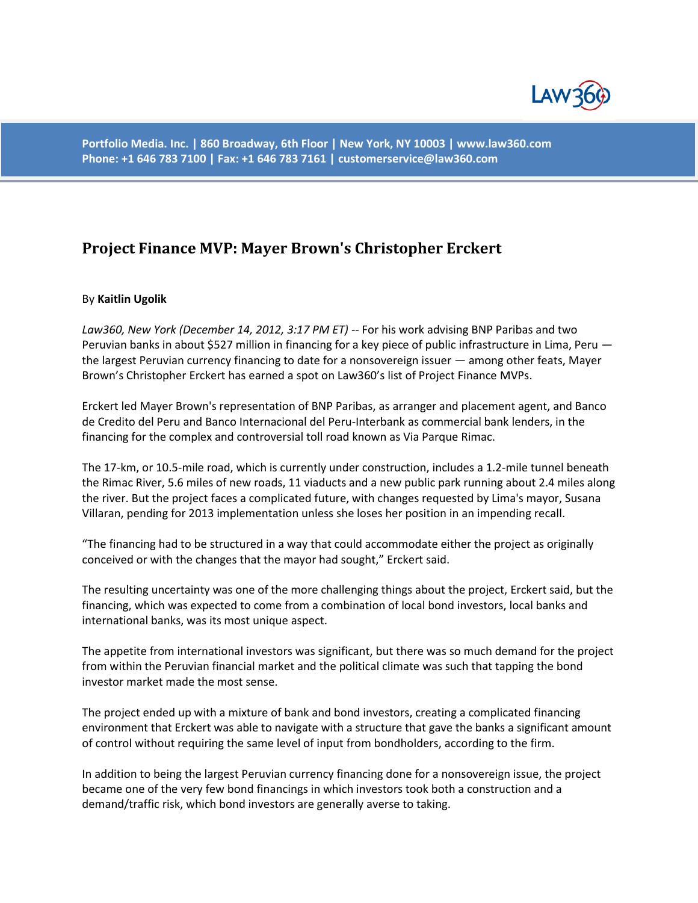

**Portfolio Media. Inc. | 860 Broadway, 6th Floor | New York, NY 10003 | www.law360.com Phone: +1 646 783 7100 | Fax: +1 646 783 7161 | customerservice@law360.com**

## **Project Finance MVP: Mayer Brown's Christopher Erckert**

## By **Kaitlin Ugolik**

*Law360, New York (December 14, 2012, 3:17 PM ET)* -- For his work advising BNP Paribas and two Peruvian banks in about \$527 million in financing for a key piece of public infrastructure in Lima, Peru the largest Peruvian currency financing to date for a nonsovereign issuer — among other feats, Mayer Brown's Christopher Erckert has earned a spot on Law360's list of Project Finance MVPs.

Erckert led Mayer Brown's representation of BNP Paribas, as arranger and placement agent, and Banco de Credito del Peru and Banco Internacional del Peru-Interbank as commercial bank lenders, in the financing for the complex and controversial toll road known as Via Parque Rimac.

The 17-km, or 10.5-mile road, which is currently under construction, includes a 1.2-mile tunnel beneath the Rimac River, 5.6 miles of new roads, 11 viaducts and a new public park running about 2.4 miles along the river. But the project faces a complicated future, with changes requested by Lima's mayor, Susana Villaran, pending for 2013 implementation unless she loses her position in an impending recall.

"The financing had to be structured in a way that could accommodate either the project as originally conceived or with the changes that the mayor had sought," Erckert said.

The resulting uncertainty was one of the more challenging things about the project, Erckert said, but the financing, which was expected to come from a combination of local bond investors, local banks and international banks, was its most unique aspect.

The appetite from international investors was significant, but there was so much demand for the project from within the Peruvian financial market and the political climate was such that tapping the bond investor market made the most sense.

The project ended up with a mixture of bank and bond investors, creating a complicated financing environment that Erckert was able to navigate with a structure that gave the banks a significant amount of control without requiring the same level of input from bondholders, according to the firm.

In addition to being the largest Peruvian currency financing done for a nonsovereign issue, the project became one of the very few bond financings in which investors took both a construction and a demand/traffic risk, which bond investors are generally averse to taking.